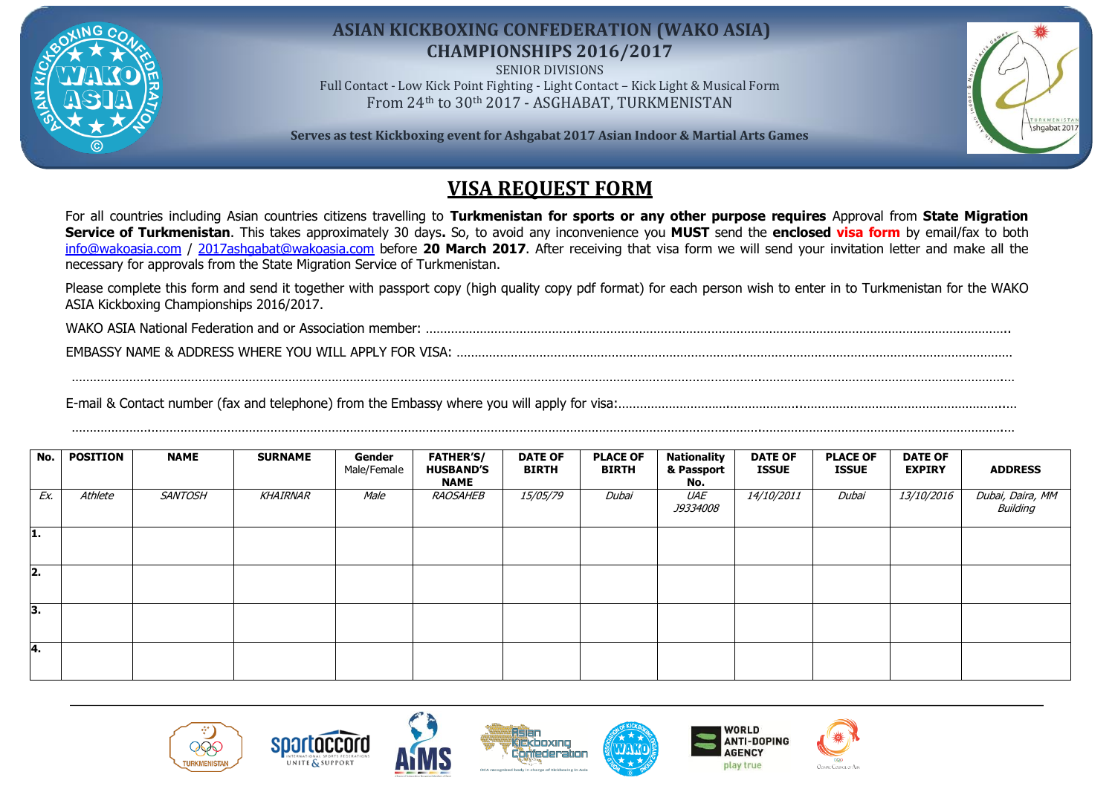

## **ASIAN KICKBOXING CONFEDERATION (WAKO ASIA) CHAMPIONSHIPS 2016/2017**

SENIOR DIVISIONS Full Contact - Low Kick Point Fighting - Light Contact – Kick Light & Musical Form From 24th to 30th 2017 - ASGHABAT, TURKMENISTAN

**Serves as test Kickboxing event for Ashgabat 2017 Asian Indoor & Martial Arts Games**



## **VISA REQUEST FORM**

For all countries including Asian countries citizens travelling to **Turkmenistan for sports or any other purpose requires** Approval from **State Migration Service of Turkmenistan**. This takes approximately 30 days**.** So, to avoid any inconvenience you **MUST** send the **enclosed visa form** by email/fax to both [info@wakoasia.com](mailto:info@wakoasia.com) / [2017ashgabat@wakoasia.com](mailto:2017ashgabat@wakoasia.com) before **20 March 2017**. After receiving that visa form we will send your invitation letter and make all the necessary for approvals from the State Migration Service of Turkmenistan.

Please complete this form and send it together with passport copy (high quality copy pdf format) for each person wish to enter in to Turkmenistan for the WAKO ASIA Kickboxing Championships 2016/2017.

………………….…………………………………………………………………………………………………………………………………………………….………………………………………………………….…

WAKO ASIA National Federation and or Association member: …………………………………….………………………………………………………………………………………………………..

EMBASSY NAME & ADDRESS WHERE YOU WILL APPLY FOR VISA: …………………………………………………………………….…………………………………………………………………

E-mail & Contact number (fax and telephone) from the Embassy where you will apply for visa:………………………….………………..………………………………………………..…

| No. I | <b>POSITION</b> | <b>NAME</b>    | <b>SURNAME</b> | Gender<br>Male/Female | <b>FATHER'S/</b><br><b>HUSBAND'S</b><br><b>NAME</b> | <b>DATE OF</b><br><b>BIRTH</b> | <b>PLACE OF</b><br><b>BIRTH</b> | <b>Nationality</b><br>& Passport<br>No. | <b>DATE OF</b><br><b>ISSUE</b> | <b>PLACE OF</b><br><b>ISSUE</b> | <b>DATE OF</b><br><b>EXPIRY</b> | <b>ADDRESS</b>               |
|-------|-----------------|----------------|----------------|-----------------------|-----------------------------------------------------|--------------------------------|---------------------------------|-----------------------------------------|--------------------------------|---------------------------------|---------------------------------|------------------------------|
| Ex.   | Athlete         | <b>SANTOSH</b> | KHAIRNAR       | Male                  | RAOSAHEB                                            | <i>15/05/79</i>                | Dubai                           | UAE<br><i>J9334008</i>                  | <i>14/10/2011</i>              | Dubai                           | <i>13/10/2016</i>               | Dubai, Daira, MM<br>Building |
| 1.    |                 |                |                |                       |                                                     |                                |                                 |                                         |                                |                                 |                                 |                              |
| 2.    |                 |                |                |                       |                                                     |                                |                                 |                                         |                                |                                 |                                 |                              |
| ١з.   |                 |                |                |                       |                                                     |                                |                                 |                                         |                                |                                 |                                 |                              |
| l4.   |                 |                |                |                       |                                                     |                                |                                 |                                         |                                |                                 |                                 |                              |









………………….…………………………………………………………………………………………………………………………………………………….………………………………………………………….…